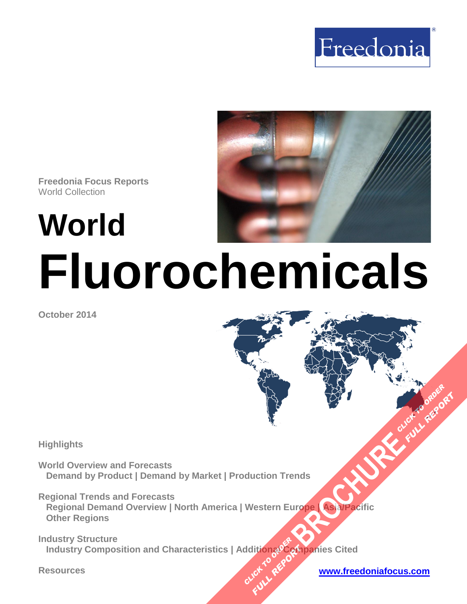



**Freedonia Focus Reports** World Collection

**World**

# **Fluorochemicals**

**October 2014**

#### **Highlights**

**World Overview and Forecasts Demand by Product | Demand by Market | Production Trends** 

**Regional Trends and Forecasts Regional Demand Overview | North America | Western Europe | Asia/Pacific Other Regions [BROCHURE](http://www.freedoniagroup.com/FocusDetails.aspx?ReferrerId=FM-FocusBro&ReportID=FW35021) CLICK TO ORDER**<br>BROCHURE CLICK TO ORDER

**Industry Structure Industry Composition and Characteristics | Additionរូ** $\mathcal{PC}_{\alpha}$ **mpanies Cited CLICK TO REPORT FULL REPORT** 

#### **Resources [www.freedoniafocus.com](http://www.freedoniagroup.com/FocusReports.aspx?ReferrerId=FM-FocusBro)**

**FULL REP**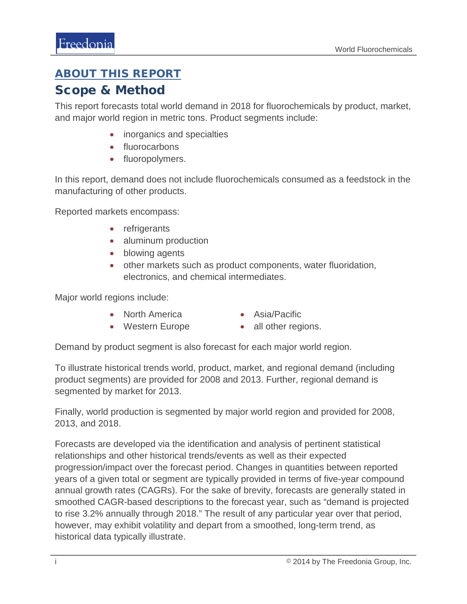## <span id="page-1-0"></span>ABOUT THIS REPORT

## Scope & Method

This report forecasts total world demand in 2018 for fluorochemicals by product, market, and major world region in metric tons. Product segments include:

- inorganics and specialties
- fluorocarbons
- fluoropolymers.

In this report, demand does not include fluorochemicals consumed as a feedstock in the manufacturing of other products.

Reported markets encompass:

- refrigerants
- aluminum production
- blowing agents
- other markets such as product components, water fluoridation, electronics, and chemical intermediates.

Major world regions include:

- North America
- Asia/Pacific
- Western Europe
- all other regions.

Demand by product segment is also forecast for each major world region.

To illustrate historical trends world, product, market, and regional demand (including product segments) are provided for 2008 and 2013. Further, regional demand is segmented by market for 2013.

Finally, world production is segmented by major world region and provided for 2008, 2013, and 2018.

Forecasts are developed via the identification and analysis of pertinent statistical relationships and other historical trends/events as well as their expected progression/impact over the forecast period. Changes in quantities between reported years of a given total or segment are typically provided in terms of five-year compound annual growth rates (CAGRs). For the sake of brevity, forecasts are generally stated in smoothed CAGR-based descriptions to the forecast year, such as "demand is projected to rise 3.2% annually through 2018." The result of any particular year over that period, however, may exhibit volatility and depart from a smoothed, long-term trend, as historical data typically illustrate.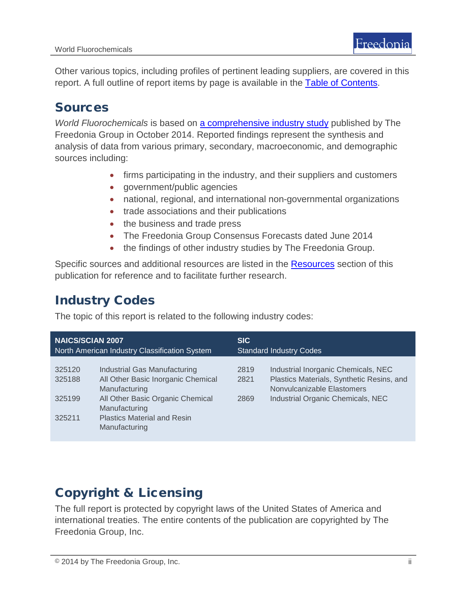Other various topics, including profiles of pertinent leading suppliers, are covered in this report. A full outline of report items by page is available in the [Table of Contents.](#page-3-0)

## Sources

*World Fluorochemicals* is based on [a comprehensive industry study](http://www.freedoniagroup.com/DocumentDetails.aspx?ReferrerId=FL-FOCUS&studyid=3200) published by The Freedonia Group in October 2014. Reported findings represent the synthesis and analysis of data from various primary, secondary, macroeconomic, and demographic sources including:

- firms participating in the industry, and their suppliers and customers
- government/public agencies
- national, regional, and international non-governmental organizations
- trade associations and their publications
- the business and trade press
- The Freedonia Group Consensus Forecasts dated June 2014
- the findings of other industry studies by The Freedonia Group.

Specific sources and additional resources are listed in the Resources section of this publication for reference and to facilitate further research.

## Industry Codes

The topic of this report is related to the following industry codes:

| <b>NAICS/SCIAN 2007</b>                       |                                                                                                                                                                                                 | <b>SIC</b>                     |                                                                                                                                                     |
|-----------------------------------------------|-------------------------------------------------------------------------------------------------------------------------------------------------------------------------------------------------|--------------------------------|-----------------------------------------------------------------------------------------------------------------------------------------------------|
| North American Industry Classification System |                                                                                                                                                                                                 | <b>Standard Industry Codes</b> |                                                                                                                                                     |
| 325120<br>325188<br>325199<br>325211          | Industrial Gas Manufacturing<br>All Other Basic Inorganic Chemical<br>Manufacturing<br>All Other Basic Organic Chemical<br>Manufacturing<br><b>Plastics Material and Resin</b><br>Manufacturing | 2819<br>2821<br>2869           | Industrial Inorganic Chemicals, NEC<br>Plastics Materials, Synthetic Resins, and<br>Nonvulcanizable Elastomers<br>Industrial Organic Chemicals, NEC |

# Copyright & Licensing

The full report is protected by copyright laws of the United States of America and international treaties. The entire contents of the publication are copyrighted by The Freedonia Group, Inc.